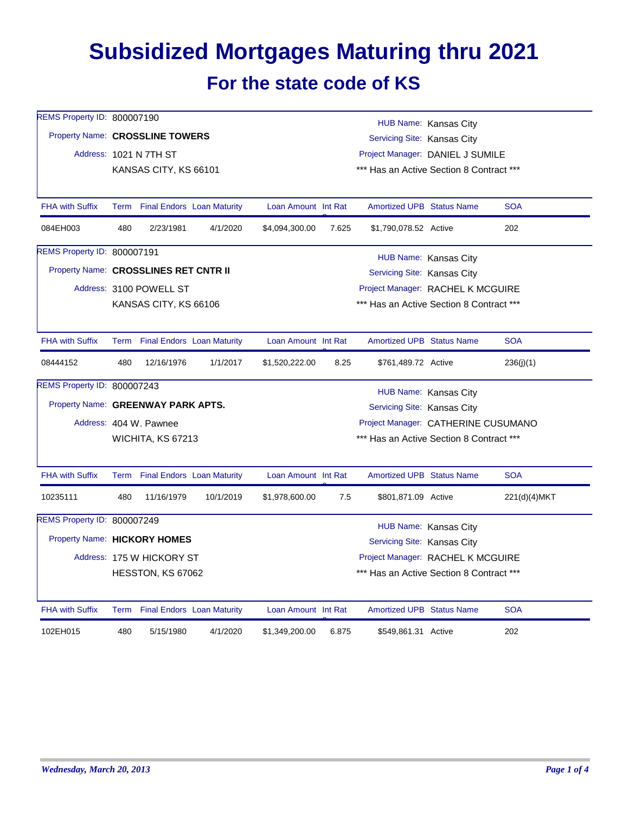## **Subsidized Mortgages Maturing thru 2021 For the state code of KS**

| REMS Property ID: 800007190           |                                                                |                                 |           |                     |       |                                          | HUB Name: Kansas City |              |
|---------------------------------------|----------------------------------------------------------------|---------------------------------|-----------|---------------------|-------|------------------------------------------|-----------------------|--------------|
|                                       | Property Name: CROSSLINE TOWERS<br>Servicing Site: Kansas City |                                 |           |                     |       |                                          |                       |              |
|                                       | Address: 1021 N 7TH ST<br>Project Manager: DANIEL J SUMILE     |                                 |           |                     |       |                                          |                       |              |
|                                       |                                                                | KANSAS CITY, KS 66101           |           |                     |       | *** Has an Active Section 8 Contract *** |                       |              |
| <b>FHA with Suffix</b>                |                                                                | Term Final Endors Loan Maturity |           | Loan Amount Int Rat |       | Amortized UPB Status Name                |                       | <b>SOA</b>   |
|                                       |                                                                |                                 |           |                     |       |                                          |                       |              |
| 084EH003                              | 480                                                            | 2/23/1981                       | 4/1/2020  | \$4,094,300.00      | 7.625 | \$1,790,078.52 Active                    |                       | 202          |
| REMS Property ID: 800007191           |                                                                |                                 |           |                     |       |                                          | HUB Name: Kansas City |              |
| Property Name: CROSSLINES RET CNTR II |                                                                |                                 |           |                     |       | Servicing Site: Kansas City              |                       |              |
|                                       |                                                                | Address: 3100 POWELL ST         |           |                     |       | Project Manager: RACHEL K MCGUIRE        |                       |              |
|                                       |                                                                | KANSAS CITY, KS 66106           |           |                     |       | *** Has an Active Section 8 Contract *** |                       |              |
|                                       |                                                                |                                 |           |                     |       |                                          |                       |              |
| <b>FHA with Suffix</b>                |                                                                | Term Final Endors Loan Maturity |           | Loan Amount Int Rat |       | <b>Amortized UPB Status Name</b>         |                       | <b>SOA</b>   |
| 08444152                              | 480                                                            | 12/16/1976                      | 1/1/2017  | \$1,520,222.00      | 8.25  | \$761,489.72 Active                      |                       | 236(j)(1)    |
| <b>REMS Property ID: 800007243</b>    |                                                                |                                 |           |                     |       |                                          | HUB Name: Kansas City |              |
| Property Name: GREENWAY PARK APTS.    |                                                                |                                 |           |                     |       | Servicing Site: Kansas City              |                       |              |
|                                       |                                                                | Address: 404 W. Pawnee          |           |                     |       | Project Manager: CATHERINE CUSUMANO      |                       |              |
|                                       |                                                                | WICHITA, KS 67213               |           |                     |       | *** Has an Active Section 8 Contract *** |                       |              |
|                                       |                                                                |                                 |           |                     |       |                                          |                       |              |
| <b>FHA with Suffix</b>                |                                                                | Term Final Endors Loan Maturity |           | Loan Amount Int Rat |       | Amortized UPB Status Name                |                       | <b>SOA</b>   |
| 10235111                              | 480                                                            | 11/16/1979                      | 10/1/2019 | \$1,978,600.00      | 7.5   | \$801,871.09 Active                      |                       | 221(d)(4)MKT |
| REMS Property ID: 800007249           |                                                                |                                 |           |                     |       |                                          | HUB Name: Kansas City |              |
| Property Name: HICKORY HOMES          |                                                                |                                 |           |                     |       | Servicing Site: Kansas City              |                       |              |
|                                       |                                                                | Address: 175 W HICKORY ST       |           |                     |       | Project Manager: RACHEL K MCGUIRE        |                       |              |
|                                       |                                                                | HESSTON, KS 67062               |           |                     |       | *** Has an Active Section 8 Contract *** |                       |              |
| <b>FHA with Suffix</b>                |                                                                | Term Final Endors Loan Maturity |           | Loan Amount Int Rat |       | <b>Amortized UPB Status Name</b>         |                       | <b>SOA</b>   |
|                                       |                                                                |                                 |           |                     |       |                                          |                       |              |
| 102EH015                              | 480                                                            | 5/15/1980                       | 4/1/2020  | \$1,349,200.00      | 6.875 | \$549,861.31 Active                      |                       | 202          |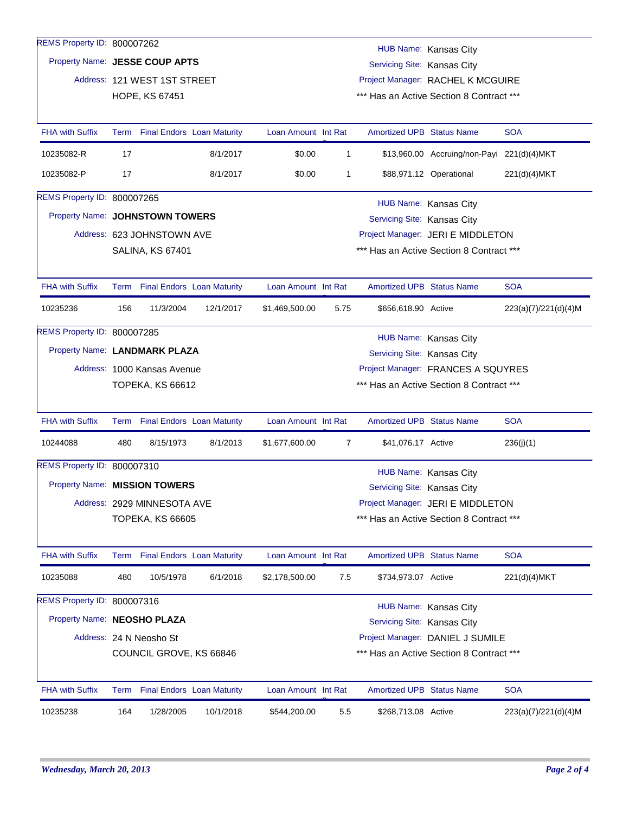| REMS Property ID: 800007262        |                                                                     |                              |                                   |                     |                                          |                                    | HUB Name: Kansas City                      |                      |  |
|------------------------------------|---------------------------------------------------------------------|------------------------------|-----------------------------------|---------------------|------------------------------------------|------------------------------------|--------------------------------------------|----------------------|--|
|                                    | Property Name: JESSE COUP APTS<br>Servicing Site: Kansas City       |                              |                                   |                     |                                          |                                    |                                            |                      |  |
|                                    |                                                                     | Address: 121 WEST 1ST STREET |                                   |                     | Project Manager: RACHEL K MCGUIRE        |                                    |                                            |                      |  |
|                                    |                                                                     | HOPE, KS 67451               |                                   |                     |                                          |                                    | *** Has an Active Section 8 Contract ***   |                      |  |
|                                    |                                                                     |                              |                                   |                     |                                          |                                    |                                            |                      |  |
| <b>FHA with Suffix</b>             |                                                                     |                              | Term Final Endors Loan Maturity   | Loan Amount Int Rat |                                          | <b>Amortized UPB Status Name</b>   |                                            | <b>SOA</b>           |  |
| 10235082-R                         | 17                                                                  |                              | 8/1/2017                          | \$0.00              | $\mathbf{1}$                             |                                    | \$13,960.00 Accruing/non-Payi 221(d)(4)MKT |                      |  |
| 10235082-P                         | 17                                                                  |                              | 8/1/2017                          | \$0.00              | 1                                        |                                    | \$88,971.12 Operational                    | 221(d)(4)MKT         |  |
| REMS Property ID: 800007265        |                                                                     |                              |                                   |                     |                                          |                                    | HUB Name: Kansas City                      |                      |  |
| Property Name: JOHNSTOWN TOWERS    |                                                                     |                              |                                   |                     |                                          | Servicing Site: Kansas City        |                                            |                      |  |
|                                    |                                                                     | Address: 623 JOHNSTOWN AVE   |                                   |                     |                                          |                                    | Project Manager: JERI E MIDDLETON          |                      |  |
|                                    |                                                                     | <b>SALINA, KS 67401</b>      |                                   |                     |                                          |                                    | *** Has an Active Section 8 Contract ***   |                      |  |
|                                    |                                                                     |                              |                                   |                     |                                          |                                    |                                            |                      |  |
| <b>FHA with Suffix</b>             |                                                                     |                              | Term Final Endors Loan Maturity   | Loan Amount Int Rat |                                          | <b>Amortized UPB Status Name</b>   |                                            | <b>SOA</b>           |  |
| 10235236                           | 156                                                                 | 11/3/2004                    | 12/1/2017                         | \$1,469,500.00      | 5.75                                     | \$656,618.90 Active                |                                            | 223(a)(7)/221(d)(4)M |  |
| REMS Property ID: 800007285        |                                                                     |                              |                                   |                     |                                          |                                    | HUB Name: Kansas City                      |                      |  |
| Property Name: LANDMARK PLAZA      |                                                                     |                              |                                   |                     |                                          | Servicing Site: Kansas City        |                                            |                      |  |
|                                    |                                                                     | Address: 1000 Kansas Avenue  |                                   |                     |                                          | Project Manager: FRANCES A SQUYRES |                                            |                      |  |
|                                    |                                                                     | TOPEKA, KS 66612             |                                   |                     | *** Has an Active Section 8 Contract *** |                                    |                                            |                      |  |
|                                    |                                                                     |                              |                                   |                     |                                          |                                    |                                            |                      |  |
| <b>FHA with Suffix</b>             |                                                                     |                              | Term Final Endors Loan Maturity   | Loan Amount Int Rat |                                          | <b>Amortized UPB Status Name</b>   |                                            | <b>SOA</b>           |  |
| 10244088                           | 480                                                                 | 8/15/1973                    | 8/1/2013                          | \$1,677,600.00      | 7                                        | \$41,076.17 Active                 |                                            | 236(j)(1)            |  |
| REMS Property ID: 800007310        |                                                                     |                              |                                   |                     |                                          |                                    | HUB Name: Kansas City                      |                      |  |
| Property Name: MISSION TOWERS      |                                                                     |                              |                                   |                     |                                          | Servicing Site: Kansas City        |                                            |                      |  |
|                                    |                                                                     |                              |                                   |                     |                                          |                                    |                                            |                      |  |
|                                    |                                                                     | Address: 2929 MINNESOTA AVE  |                                   |                     |                                          | Project Manager: JERI E MIDDLETON  |                                            |                      |  |
|                                    |                                                                     | <b>TOPEKA, KS 66605</b>      |                                   |                     |                                          |                                    | *** Has an Active Section 8 Contract ***   |                      |  |
| <b>FHA with Suffix</b>             | Term                                                                |                              | <b>Final Endors Loan Maturity</b> | Loan Amount Int Rat |                                          | Amortized UPB Status Name          |                                            | <b>SOA</b>           |  |
| 10235088                           | 480                                                                 | 10/5/1978                    | 6/1/2018                          | \$2,178,500.00      | 7.5                                      | \$734,973.07 Active                |                                            | 221(d)(4)MKT         |  |
| <b>REMS Property ID: 800007316</b> |                                                                     |                              |                                   |                     |                                          |                                    | HUB Name: Kansas City                      |                      |  |
| Property Name: NEOSHO PLAZA        |                                                                     |                              |                                   |                     |                                          | Servicing Site: Kansas City        |                                            |                      |  |
|                                    |                                                                     | Address: 24 N Neosho St      |                                   |                     |                                          |                                    | Project Manager: DANIEL J SUMILE           |                      |  |
|                                    | *** Has an Active Section 8 Contract ***<br>COUNCIL GROVE, KS 66846 |                              |                                   |                     |                                          |                                    |                                            |                      |  |
|                                    |                                                                     |                              |                                   |                     |                                          |                                    |                                            |                      |  |
| <b>FHA with Suffix</b>             |                                                                     |                              |                                   |                     |                                          |                                    |                                            |                      |  |
|                                    |                                                                     |                              | Term Final Endors Loan Maturity   | Loan Amount Int Rat |                                          | <b>Amortized UPB Status Name</b>   |                                            | <b>SOA</b>           |  |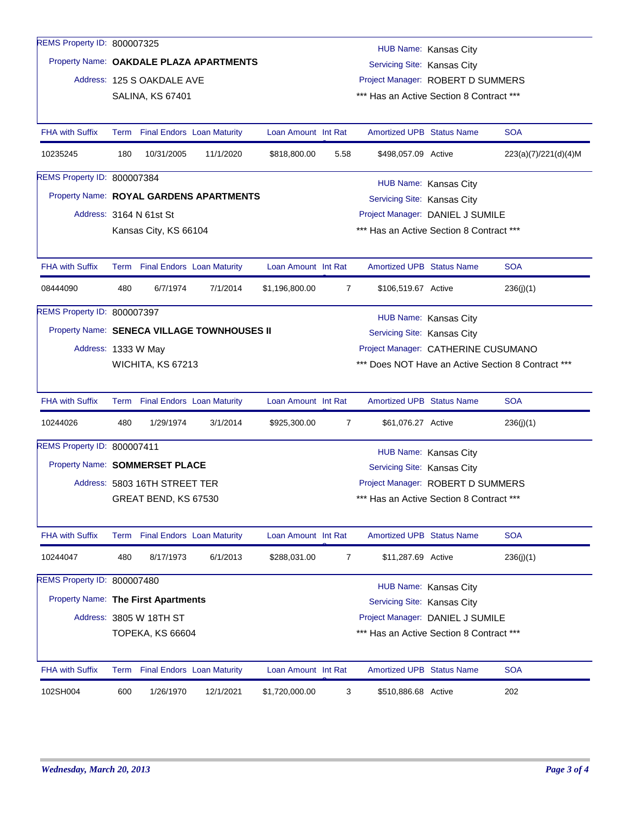| REMS Property ID: 800007325                 |                         |                                 |                                   |                     |                                          |                                                                  | HUB Name: Kansas City |                                                    |  |  |
|---------------------------------------------|-------------------------|---------------------------------|-----------------------------------|---------------------|------------------------------------------|------------------------------------------------------------------|-----------------------|----------------------------------------------------|--|--|
| Property Name: OAKDALE PLAZA APARTMENTS     |                         |                                 |                                   |                     |                                          |                                                                  |                       |                                                    |  |  |
|                                             |                         | Address: 125 S OAKDALE AVE      |                                   |                     |                                          | Servicing Site: Kansas City<br>Project Manager: ROBERT D SUMMERS |                       |                                                    |  |  |
|                                             |                         | <b>SALINA, KS 67401</b>         |                                   |                     | *** Has an Active Section 8 Contract *** |                                                                  |                       |                                                    |  |  |
|                                             |                         |                                 |                                   |                     |                                          |                                                                  |                       |                                                    |  |  |
| <b>FHA with Suffix</b>                      |                         | Term Final Endors Loan Maturity |                                   | Loan Amount Int Rat |                                          | <b>Amortized UPB Status Name</b>                                 |                       | <b>SOA</b>                                         |  |  |
| 10235245                                    | 180                     | 10/31/2005                      | 11/1/2020                         | \$818,800.00        | 5.58                                     | \$498,057.09 Active                                              |                       | 223(a)(7)/221(d)(4)M                               |  |  |
| REMS Property ID: 800007384                 |                         |                                 |                                   |                     |                                          |                                                                  | HUB Name: Kansas City |                                                    |  |  |
| Property Name: ROYAL GARDENS APARTMENTS     |                         |                                 |                                   |                     |                                          | Servicing Site: Kansas City                                      |                       |                                                    |  |  |
|                                             |                         | Address: 3164 N 61st St         |                                   |                     |                                          | Project Manager: DANIEL J SUMILE                                 |                       |                                                    |  |  |
|                                             |                         | Kansas City, KS 66104           |                                   |                     |                                          | *** Has an Active Section 8 Contract ***                         |                       |                                                    |  |  |
|                                             |                         |                                 |                                   |                     |                                          |                                                                  |                       |                                                    |  |  |
| <b>FHA with Suffix</b>                      |                         | Term Final Endors Loan Maturity |                                   | Loan Amount Int Rat |                                          | <b>Amortized UPB Status Name</b>                                 |                       | <b>SOA</b>                                         |  |  |
| 08444090                                    | 480                     | 6/7/1974                        | 7/1/2014                          | \$1,196,800.00      | 7                                        | \$106,519.67 Active                                              |                       | 236(j)(1)                                          |  |  |
| REMS Property ID: 800007397                 |                         |                                 |                                   |                     |                                          |                                                                  | HUB Name: Kansas City |                                                    |  |  |
| Property Name: SENECA VILLAGE TOWNHOUSES II |                         |                                 |                                   |                     |                                          | Servicing Site: Kansas City                                      |                       |                                                    |  |  |
| Address: 1333 W May                         |                         |                                 |                                   |                     |                                          | Project Manager: CATHERINE CUSUMANO                              |                       |                                                    |  |  |
|                                             |                         | WICHITA, KS 67213               |                                   |                     |                                          |                                                                  |                       | *** Does NOT Have an Active Section 8 Contract *** |  |  |
|                                             |                         |                                 |                                   |                     |                                          |                                                                  |                       |                                                    |  |  |
| <b>FHA with Suffix</b>                      |                         | Term Final Endors Loan Maturity |                                   | Loan Amount Int Rat |                                          | <b>Amortized UPB Status Name</b>                                 |                       | <b>SOA</b>                                         |  |  |
| 10244026                                    | 480                     | 1/29/1974                       | 3/1/2014                          | \$925,300.00        | 7                                        | \$61,076.27 Active                                               |                       | 236(j)(1)                                          |  |  |
| REMS Property ID: 800007411                 |                         |                                 |                                   |                     |                                          |                                                                  | HUB Name: Kansas City |                                                    |  |  |
| Property Name: SOMMERSET PLACE              |                         |                                 |                                   |                     |                                          | Servicing Site: Kansas City                                      |                       |                                                    |  |  |
|                                             |                         | Address: 5803 16TH STREET TER   |                                   |                     |                                          | Project Manager: ROBERT D SUMMERS                                |                       |                                                    |  |  |
|                                             |                         | GREAT BEND, KS 67530            |                                   |                     |                                          | *** Has an Active Section 8 Contract ***                         |                       |                                                    |  |  |
|                                             |                         |                                 |                                   |                     |                                          |                                                                  |                       |                                                    |  |  |
| <b>FHA with Suffix</b>                      |                         | Term Final Endors Loan Maturity |                                   | Loan Amount Int Rat |                                          | <b>Amortized UPB Status Name</b>                                 |                       | <b>SOA</b>                                         |  |  |
| 10244047                                    | 480                     | 8/17/1973                       | 6/1/2013                          | \$288,031.00        | $\overline{7}$                           | \$11,287.69 Active                                               |                       | 236(j)(1)                                          |  |  |
| REMS Property ID: 800007480                 |                         |                                 |                                   |                     |                                          |                                                                  | HUB Name: Kansas City |                                                    |  |  |
| <b>Property Name: The First Apartments</b>  |                         |                                 |                                   |                     |                                          | Servicing Site: Kansas City                                      |                       |                                                    |  |  |
|                                             |                         | Address: 3805 W 18TH ST         |                                   |                     |                                          | Project Manager: DANIEL J SUMILE                                 |                       |                                                    |  |  |
|                                             | <b>TOPEKA, KS 66604</b> |                                 |                                   |                     |                                          | *** Has an Active Section 8 Contract ***                         |                       |                                                    |  |  |
|                                             |                         |                                 |                                   |                     |                                          |                                                                  |                       |                                                    |  |  |
| <b>FHA with Suffix</b>                      | Term                    |                                 | <b>Final Endors Loan Maturity</b> | Loan Amount Int Rat |                                          | Amortized UPB Status Name                                        |                       | <b>SOA</b>                                         |  |  |
| 102SH004                                    | 600                     | 1/26/1970                       | 12/1/2021                         | \$1,720,000.00      | 3                                        | \$510,886.68 Active                                              |                       | 202                                                |  |  |